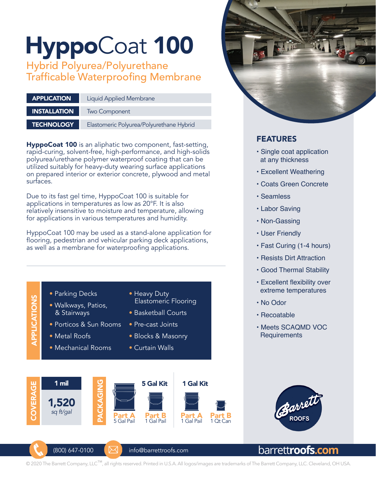# HyppoCoat 100

Hybrid Polyurea/Polyurethane Trafficable Waterproofing Membrane

| <b>APPLICATION</b>  | <b>Liquid Applied Membrane</b>           |  |
|---------------------|------------------------------------------|--|
| <b>INSTALLATION</b> |                                          |  |
|                     | Two Component                            |  |
| <b>TECHNOLOGY</b>   | Elastomeric Polyurea/Polyurethane Hybrid |  |

**HyppoCoat 100** is an aliphatic two component, fast-setting, rapid-curing, solvent-free, high-performance, and high-solids polyurea/urethane polymer waterproof coating that can be utilized suitably for heavy-duty wearing surface applications on prepared interior or exterior concrete, plywood and metal surfaces.

Due to its fast gel time, HyppoCoat 100 is suitable for applications in temperatures as low as 20°F. It is also relatively insensitive to moisture and temperature, allowing for applications in various temperatures and humidity.

HyppoCoat 100 may be used as a stand-alone application for flooring, pedestrian and vehicular parking deck applications, as well as a membrane for waterproofing applications.





### FEATURES

- Single coat application at any thickness
- Excellent Weathering
- Coats Green Concrete
- Seamless
- Labor Saving
- Non-Gassing
- User Friendly
- Fast Curing (1-4 hours)
- Resists Dirt Attraction
- Good Thermal Stability
- Excellent flexibility over extreme temperatures
- No Odor
- Recoatable
- Meets SCAQMD VOC **Requirements**



# barrett**roofs.com**

© 2020 The Barrett Company, LLC™, all rights reserved. Printed in U.S.A. All logos/images are trademarks of The Barrett Company, LLC. Cleveland, OH USA.